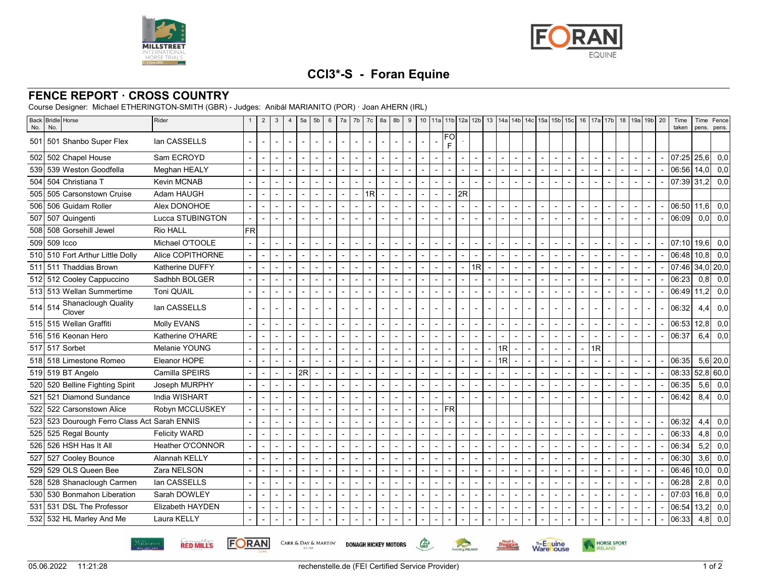



## **CCI3\*-S - Foran Equine**

## **FENCE REPORT · CROSS COUNTRY**

Course Designer: Michael ETHERINGTON-SMITH (GBR) - Judges: Anibál MARIANITO (POR) · Joan AHERN (IRL)

| No. | Back Bridle Horse<br>No.                     | Rider                   | $\mathbf{1}$ | $\overline{2}$           | 3                        | $\overline{4}$ | 5a             | 5 <sub>b</sub> | 6              | 7a                       | 7b                       | 7c             | 8a                       | 8b                       | 9                        |                          |                          |                | 10   11a   11b   12a   12b |                          |                          | 13   14a   14b   14c   15a   15b   15c |                |                |                |                          | 16 17a 17b     |                          | 18 19a 19b 20  |                          |                | Time<br>taken | Time<br>pens.     | Fence<br>pens. |
|-----|----------------------------------------------|-------------------------|--------------|--------------------------|--------------------------|----------------|----------------|----------------|----------------|--------------------------|--------------------------|----------------|--------------------------|--------------------------|--------------------------|--------------------------|--------------------------|----------------|----------------------------|--------------------------|--------------------------|----------------------------------------|----------------|----------------|----------------|--------------------------|----------------|--------------------------|----------------|--------------------------|----------------|---------------|-------------------|----------------|
|     | 501 501 Shanbo Super Flex                    | lan CASSELLS            |              |                          |                          |                |                |                |                |                          |                          |                |                          |                          |                          |                          |                          | FO<br>F        |                            |                          |                          |                                        |                |                |                |                          |                |                          |                |                          |                |               |                   |                |
|     | 502 502 Chapel House                         | Sam ECROYD              |              |                          |                          |                |                |                |                |                          |                          |                |                          |                          |                          |                          |                          |                |                            |                          |                          |                                        |                |                |                |                          |                |                          |                |                          |                | 07:25 25,6    |                   | 0,0            |
|     | 539 539 Weston Goodfella                     | Meghan HEALY            |              |                          | $\overline{\phantom{a}}$ |                |                |                |                |                          |                          |                | $\blacksquare$           |                          |                          | $\blacksquare$           | $\blacksquare$           |                | $\overline{\phantom{a}}$   |                          |                          | $\overline{\phantom{a}}$               |                |                | $\blacksquare$ |                          |                |                          |                | $\blacksquare$           |                | 06:56 14.0    |                   | 0,0            |
|     | 504 S04 Christiana T                         | <b>Kevin MCNAB</b>      |              |                          | $\overline{a}$           |                | $\overline{a}$ |                |                | $\overline{a}$           |                          |                | $\overline{a}$           |                          | J.                       |                          | $\overline{a}$           |                | $\overline{\phantom{a}}$   |                          | $\overline{a}$           | $\sim$                                 | $\overline{a}$ |                | $\blacksquare$ | $\overline{\phantom{a}}$ |                | $\overline{\phantom{a}}$ | $\overline{a}$ | $\overline{a}$           | $\overline{a}$ | 07:39 31,2    |                   | 0,0            |
| 505 | 505 Carsonstown Cruise                       | Adam HAUGH              |              |                          |                          |                |                |                |                |                          |                          | 1R             | $\overline{\phantom{0}}$ |                          |                          |                          | $\overline{a}$           |                | 2R                         |                          |                          |                                        |                |                |                |                          |                |                          |                |                          |                |               |                   |                |
| 506 | 506 Guidam Roller                            | Alex DONOHOE            |              |                          | $\sim$                   |                |                |                |                | $\overline{a}$           |                          |                |                          |                          | J.                       | $\overline{a}$           | $\sim$                   |                | $\overline{a}$             |                          |                          | $\overline{\phantom{a}}$               |                |                | $\overline{a}$ |                          |                |                          |                | $\sim$                   |                | 06:50 11,6    |                   | 0,0            |
|     | 507 S07 Quingenti                            | Lucca STUBINGTON        |              |                          |                          |                |                |                |                |                          |                          |                |                          |                          |                          |                          | $\sim$                   |                | $\overline{\phantom{a}}$   |                          |                          |                                        |                |                | $\overline{a}$ |                          |                |                          |                | $\sim$                   |                | 06:09         | 0,0               | 0,0            |
|     | 508 508 Gorsehill Jewel                      | Rio HALL                | <b>FR</b>    |                          |                          |                |                |                |                |                          |                          |                |                          |                          |                          |                          |                          |                |                            |                          |                          |                                        |                |                |                |                          |                |                          |                |                          |                |               |                   |                |
|     | 509 509 Icco                                 | Michael O'TOOLE         |              |                          |                          |                |                |                |                | $\blacksquare$           |                          |                |                          |                          |                          | $\blacksquare$           |                          |                |                            |                          |                          |                                        |                |                |                |                          |                |                          |                |                          |                | 07:10 19.6    |                   | 0,0            |
|     | 510 510 Fort Arthur Little Dolly             | Alice COPITHORNE        |              |                          |                          |                |                |                |                |                          |                          |                |                          |                          |                          |                          | $\overline{a}$           |                |                            |                          |                          |                                        |                |                |                |                          |                |                          |                | $\blacksquare$           |                | 06:48         | 10,8              | 0,0            |
|     | 511 511 Thaddias Brown                       | Katherine DUFFY         |              |                          | $\overline{a}$           |                |                |                |                | $\overline{a}$           |                          |                |                          |                          | $\overline{a}$           | $\overline{a}$           | $\overline{a}$           |                | $\overline{\phantom{a}}$   | 1R                       | $\overline{\phantom{a}}$ | $\overline{\phantom{0}}$               |                |                | $\overline{a}$ |                          |                |                          | $\overline{a}$ | $\overline{a}$           |                | 07:46         |                   | $34,0$ 20,0    |
|     | 512 512 Cooley Cappuccino                    | Sadhbh BOLGER           |              |                          |                          |                |                |                |                |                          |                          |                |                          |                          |                          |                          |                          |                |                            |                          |                          |                                        |                |                |                |                          |                |                          |                |                          |                | 06:23         | 0.8 <sub>l</sub>  | 0,0            |
|     | 513 513 Wellan Summertime                    | <b>Toni QUAIL</b>       |              | $\overline{\phantom{a}}$ | $\overline{\phantom{a}}$ |                |                |                |                |                          |                          |                |                          |                          |                          |                          | $\overline{\phantom{a}}$ |                |                            |                          |                          |                                        |                |                |                |                          |                |                          |                |                          |                | 06:49 11,2    |                   | 0,0            |
|     | 514 514 Shanaclough Quality<br>Clover        | lan CASSELLS            |              |                          |                          |                |                |                |                |                          |                          |                |                          |                          |                          |                          |                          |                |                            |                          |                          |                                        |                |                |                |                          |                |                          |                |                          |                | 06:32         | 4.4               | 0,0            |
|     | 515 515 Wellan Graffiti                      | Molly EVANS             |              | $\overline{\phantom{a}}$ | $\sim$                   |                |                |                |                | $\blacksquare$           |                          |                | $\sim$                   | $\blacksquare$           | $\overline{\phantom{a}}$ | $\overline{\phantom{a}}$ | $\overline{\phantom{a}}$ |                | $\overline{\phantom{a}}$   |                          | $\overline{\phantom{a}}$ | $\sim$                                 | $\blacksquare$ |                | $\blacksquare$ |                          |                |                          |                | $\blacksquare$           |                | 06:53 12.8    |                   | 0,0            |
|     | 516 516 Keonan Hero                          | Katherine O'HARE        |              | $\blacksquare$           | $\overline{a}$           |                |                |                |                | $\overline{a}$           |                          |                | $\overline{a}$           |                          |                          | $\overline{a}$           | $\overline{\phantom{a}}$ |                | $\overline{\phantom{a}}$   |                          | $\overline{a}$           | $\overline{a}$                         | $\blacksquare$ |                | $\overline{a}$ |                          |                |                          |                |                          |                | 06:37         | 6,4               | 0,0            |
|     | 517 517 Sorbet                               | Melanie YOUNG           |              |                          |                          |                |                |                |                | $\overline{a}$           |                          |                |                          |                          |                          |                          |                          |                |                            |                          |                          | 1R                                     |                |                |                |                          | 1R             |                          |                |                          |                |               |                   |                |
| 518 | 518 Limestone Romeo                          | Eleanor HOPE            |              |                          | $\sim$                   |                |                |                |                | L,                       |                          |                | $\overline{\phantom{0}}$ |                          |                          | $\blacksquare$           | $\overline{a}$           |                |                            |                          |                          | 1R                                     |                |                | $\overline{a}$ |                          |                |                          |                |                          |                | 06:35         |                   | $5,6$   20,0   |
|     | 519 519 BT Angelo                            | Camilla SPEIRS          |              |                          | $\sim$                   |                | 2R             |                |                | $\blacksquare$           |                          |                |                          |                          |                          |                          | $\overline{a}$           |                | $\overline{\phantom{a}}$   |                          |                          | $\sim$                                 |                |                | L,             |                          |                |                          |                | $\sim$                   |                | 08:33         |                   | 52,8 60,0      |
|     | 520 520 Belline Fighting Spirit              | Joseph MURPHY           |              |                          |                          |                |                |                |                |                          |                          |                |                          |                          |                          | $\blacksquare$           | $\overline{\phantom{a}}$ |                | $\overline{\phantom{a}}$   |                          |                          | $\overline{a}$                         |                |                |                |                          |                |                          |                | $\overline{\phantom{a}}$ |                | 06:35         | 5,6               | 0,0            |
|     | 521 521 Diamond Sundance                     | India WISHART           |              | $\overline{\phantom{a}}$ |                          |                |                |                |                | $\overline{a}$           |                          |                |                          |                          |                          | $\overline{a}$           | $\overline{a}$           |                |                            |                          |                          | $\overline{\phantom{a}}$               |                |                | $\overline{a}$ |                          |                |                          |                |                          |                | 06:42         | 8,4               | 0,0            |
| 522 | 522 Carsonstown Alice                        | Robyn MCCLUSKEY         |              |                          |                          |                |                |                |                |                          |                          |                |                          |                          |                          |                          | $\overline{a}$           | <b>FR</b>      |                            |                          |                          |                                        |                |                |                |                          |                |                          |                |                          |                |               |                   |                |
|     | 523 523 Dourough Ferro Class Act Sarah ENNIS |                         |              |                          |                          |                |                |                |                |                          |                          |                |                          |                          |                          |                          |                          |                |                            |                          |                          |                                        |                |                |                |                          |                |                          |                |                          |                | 06:32         | 4,4               | 0,0            |
|     | 525 525 Regal Bounty                         | <b>Felicity WARD</b>    |              |                          |                          |                |                |                |                |                          |                          |                |                          |                          |                          |                          |                          |                |                            |                          |                          |                                        |                |                |                |                          |                |                          |                |                          |                | 06:33         | 4,8               | 0,0            |
|     | 526 526 HSH Has It All                       | <b>Heather O'CONNOR</b> |              |                          | $\sim$                   |                |                |                |                |                          |                          |                |                          | $\sim$                   |                          | $\blacksquare$           | $\sim$                   |                | $\blacksquare$             |                          |                          | $\overline{\phantom{a}}$               |                |                |                |                          |                |                          |                | $\overline{\phantom{a}}$ |                | 06:34         | 5,2               | 0,0            |
|     | 527 S27 Cooley Bounce                        | Alannah KELLY           |              | $\overline{\phantom{a}}$ | $\sim$                   |                | $\overline{a}$ |                | $\overline{a}$ | $\blacksquare$           | $\overline{\phantom{a}}$ | $\overline{a}$ | $\sim$                   | $\overline{\phantom{a}}$ | $\overline{a}$           | $\overline{a}$           | $\sim$                   | $\overline{a}$ | $\overline{\phantom{a}}$   | $\overline{\phantom{a}}$ | $\blacksquare$           | $\overline{\phantom{a}}$               | $\overline{a}$ | $\overline{a}$ | $\blacksquare$ | $\blacksquare$           | $\overline{a}$ | $\overline{\phantom{0}}$ | $\overline{a}$ | $\sim$                   |                | 06:30         | 3,6               | 0,0            |
| 529 | 529 OLS Queen Bee                            | Zara NELSON             |              |                          |                          |                |                |                |                | $\overline{a}$           |                          |                | $\overline{\phantom{0}}$ |                          |                          |                          | $\sim$                   |                |                            |                          |                          |                                        |                |                | $\overline{a}$ |                          |                |                          |                |                          |                | 06:46         | 10.0 <sub>l</sub> | 0,0            |
|     | 528 528 Shanaclough Carmen                   | lan CASSELLS            |              |                          | $\overline{\phantom{a}}$ |                |                |                |                | $\overline{a}$           |                          |                |                          |                          |                          |                          | $\overline{\phantom{a}}$ |                |                            |                          |                          | $\overline{\phantom{a}}$               |                |                |                |                          |                |                          |                |                          |                | 06:28         | 2.8               | 0,0            |
|     | 530 530 Bonmahon Liberation                  | Sarah DOWLEY            |              |                          |                          |                |                |                |                |                          |                          |                |                          |                          |                          |                          |                          |                | $\sim$                     |                          |                          | $\overline{a}$                         |                |                |                |                          |                |                          |                |                          |                | 07:03         | 16, 8             | 0,0            |
|     | 531 531 DSL The Professor                    | Elizabeth HAYDEN        |              |                          |                          |                |                |                |                |                          |                          |                |                          |                          |                          |                          | $\overline{a}$           |                | $\overline{\phantom{a}}$   |                          |                          |                                        |                |                |                |                          |                |                          |                | $\sim$                   |                | 06:54         | 13,2              | 0,0            |
|     | 532 532 HL Marley And Me                     | Laura KELLY             |              |                          | $\sim$                   |                |                |                |                | $\overline{\phantom{a}}$ |                          |                |                          |                          | $\overline{\phantom{a}}$ |                          | $\overline{\phantom{a}}$ |                |                            |                          |                          | $\overline{a}$                         |                |                | $\overline{a}$ |                          |                |                          |                |                          |                | 06:33         | 4,8               | 0,0            |

**RED MILLS** 

**FORAN** 

CARR & DAY & MARTIN' DONAGH HICKEY MOTORS



 $\mathbb{G}$ 

Eventing **RELAND** 

Duggan

**Warehouse** 

HORSE SPORT